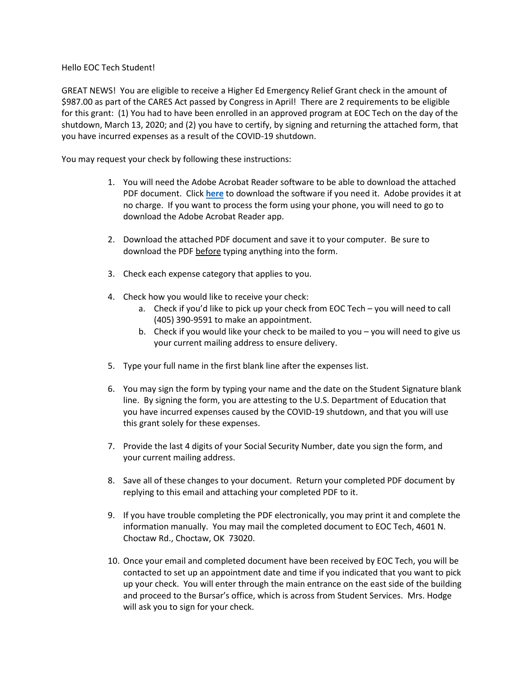## Hello EOC Tech Student!

GREAT NEWS! You are eligible to receive a Higher Ed Emergency Relief Grant check in the amount of \$987.00 as part of the CARES Act passed by Congress in April! There are 2 requirements to be eligible for this grant: (1) You had to have been enrolled in an approved program at EOC Tech on the day of the shutdown, March 13, 2020; and (2) you have to certify, by signing and returning the attached form, that you have incurred expenses as a result of the COVID-19 shutdown.

You may request your check by following these instructions:

- 1. You will need the Adobe Acrobat Reader software to be able to download the attached PDF document. Click **[here](https://get.adobe.com/reader/)** to download the software if you need it. Adobe provides it at no charge. If you want to process the form using your phone, you will need to go to download the Adobe Acrobat Reader app.
- 2. Download the attached PDF document and save it to your computer. Be sure to download the PDF before typing anything into the form.
- 3. Check each expense category that applies to you.
- 4. Check how you would like to receive your check:
	- a. Check if you'd like to pick up your check from EOC Tech you will need to call (405) 390-9591 to make an appointment.
	- b. Check if you would like your check to be mailed to you you will need to give us your current mailing address to ensure delivery.
- 5. Type your full name in the first blank line after the expenses list.
- 6. You may sign the form by typing your name and the date on the Student Signature blank line. By signing the form, you are attesting to the U.S. Department of Education that you have incurred expenses caused by the COVID-19 shutdown, and that you will use this grant solely for these expenses.
- 7. Provide the last 4 digits of your Social Security Number, date you sign the form, and your current mailing address.
- 8. Save all of these changes to your document. Return your completed PDF document by replying to this email and attaching your completed PDF to it.
- 9. If you have trouble completing the PDF electronically, you may print it and complete the information manually. You may mail the completed document to EOC Tech, 4601 N. Choctaw Rd., Choctaw, OK 73020.
- 10. Once your email and completed document have been received by EOC Tech, you will be contacted to set up an appointment date and time if you indicated that you want to pick up your check. You will enter through the main entrance on the east side of the building and proceed to the Bursar's office, which is across from Student Services. Mrs. Hodge will ask you to sign for your check.